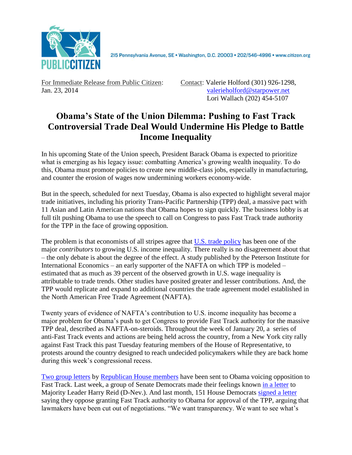

215 Pennsylvania Avenue, SE · Washington, D.C. 20003 · 202/546-4996 · www.citizen.org

For Immediate Release from Public Citizen: Contact: Valerie Holford (301) 926-1298, Jan. 23, 2014 [valerieholford@starpower.net](mailto:valerieholford@starpower.net)

Lori Wallach [\(202\) 454-5107](tel:%28202%29%20454-5107)

## **Obama's State of the Union Dilemma: Pushing to Fast Track Controversial Trade Deal Would Undermine His Pledge to Battle Income Inequality**

In his upcoming State of the Union speech, President Barack Obama is expected to prioritize what is emerging as his legacy issue: combatting America's growing wealth inequality. To do this, Obama must promote policies to create new middle-class jobs, especially in manufacturing, and counter the erosion of wages now undermining workers economy-wide.

But in the speech, scheduled for next Tuesday, Obama is also expected to highlight several major trade initiatives, including his priority Trans-Pacific Partnership (TPP) deal, a massive pact with 11 Asian and Latin American nations that Obama hopes to sign quickly. The business lobby is at full tilt pushing Obama to use the speech to call on Congress to pass Fast Track trade authority for the TPP in the face of growing opposition.

The problem is that economists of all stripes agree that [U.S. trade policy](http://www.washingtonpost.com/opinions/harold-meyerson-free-trade-and-the-loss-of-us-jobs/2014/01/14/894f5750-7d59-11e3-93c1-0e888170b723_story.html) has been one of the major *contributors* to growing U.S. income inequality. There really is no disagreement about that – the only debate is about the degree of the effect. A study published by the Peterson Institute for International Economics – an early supporter of the NAFTA on which TPP is modeled – estimated that as much as 39 percent of the observed growth in U.S. wage inequality is attributable to trade trends. Other studies have posited greater and lesser contributions. And, the TPP would replicate and expand to additional countries the trade agreement model established in the North American Free Trade Agreement (NAFTA).

Twenty years of evidence of NAFTA's contribution to U.S. income inequality has become a major problem for Obama's push to get Congress to provide Fast Track authority for the massive TPP deal, described as NAFTA-on-steroids. Throughout the week of January 20, a series of anti-Fast Track events and actions are being held across the country, from a New York city rally against Fast Track this past Tuesday featuring members of the House of Representative, to protests around the country designed to reach undecided policymakers while they are back home during this week's congressional recess.

[Two group letters](http://jones.house.gov/press-release/gop-house-members-oppose-fast-track-trade-promotion-authority) by [Republican House members](http://www.citizen.org/documents/joyce-fast-track-letter.pdf) have been sent to Obama voicing opposition to Fast Track. Last week, a group of Senate Democrats made their feelings known [in a letter](http://www.citizen.org/documents/letter-senators-to-reid-against-fast-track.pdf) to Majority Leader Harry Reid (D-Nev.). And last month, 151 House Democrats [signed a letter](http://www.citizen.org/documents/press-release-151-Ds-bloc-of-Rs-oppose-fast-track.pdf) saying they oppose granting Fast Track authority to Obama for approval of the TPP, arguing that lawmakers have been cut out of negotiations. "We want transparency. We want to see what's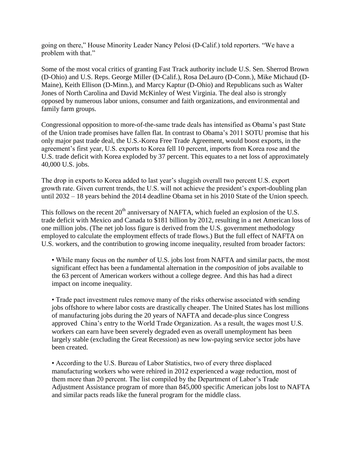going on there," House Minority Leader Nancy Pelosi (D-Calif.) told reporters. "We have a problem with that."

Some of the most vocal critics of granting Fast Track authority include U.S. Sen. Sherrod Brown (D-Ohio) and U.S. Reps. George Miller (D-Calif.), Rosa DeLauro (D-Conn.), Mike Michaud (D-Maine), Keith Ellison (D-Minn.), and Marcy Kaptur (D-Ohio) and Republicans such as Walter Jones of North Carolina and David McKinley of West Virginia. The deal also is strongly opposed by numerous labor unions, consumer and faith organizations, and environmental and family farm groups.

Congressional opposition to more-of-the-same trade deals has intensified as Obama's past State of the Union trade promises have fallen flat. In contrast to Obama's 2011 SOTU promise that his only major past trade deal, the U.S.-Korea Free Trade Agreement, would boost exports, in the agreement's first year, U.S. exports to Korea fell 10 percent, imports from Korea rose and the U.S. trade deficit with Korea exploded by 37 percent. This equates to a net loss of approximately 40,000 U.S. jobs.

The drop in exports to Korea added to last year's sluggish overall two percent U.S. export growth rate. Given current trends, the U.S. will not achieve the president's export-doubling plan until 2032 – 18 years behind the 2014 deadline Obama set in his 2010 State of the Union speech.

This follows on the recent  $20<sup>th</sup>$  anniversary of NAFTA, which fueled an explosion of the U.S. trade deficit with Mexico and Canada to \$181 billion by 2012, resulting in a net American loss of one million jobs. (The net job loss figure is derived from the U.S. government methodology employed to calculate the employment effects of trade flows.) But the full effect of NAFTA on U.S. workers, and the contribution to growing income inequality, resulted from broader factors:

• While many focus on the *number* of U.S. jobs lost from NAFTA and similar pacts, the most significant effect has been a fundamental alternation in the *composition* of jobs available to the 63 percent of American workers without a college degree. And this has had a direct impact on income inequality.

• Trade pact investment rules remove many of the risks otherwise associated with sending jobs offshore to where labor costs are drastically cheaper. The United States has lost millions of manufacturing jobs during the 20 years of NAFTA and decade-plus since Congress approved China's entry to the World Trade Organization. As a result, the wages most U.S. workers can earn have been severely degraded even as overall unemployment has been largely stable (excluding the Great Recession) as new low-paying service sector jobs have been created.

• According to the U.S. Bureau of Labor Statistics, two of every three displaced manufacturing workers who were rehired in 2012 experienced a wage reduction, most of them more than 20 percent. The list compiled by the Department of Labor's Trade Adjustment Assistance program of more than 845,000 specific American jobs lost to NAFTA and similar pacts reads like the funeral program for the middle class.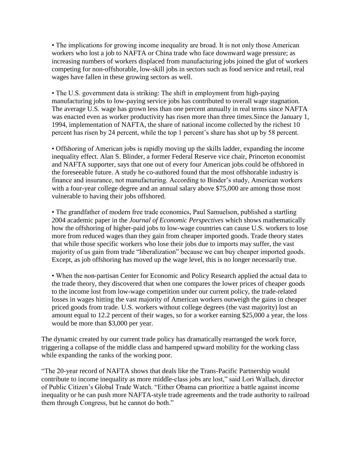• The implications for growing income inequality are broad. It is not only those American workers who lost a job to NAFTA or China trade who face downward wage pressure; as increasing numbers of workers displaced from manufacturing jobs joined the glut of workers competing for non-offshorable, low-skill jobs in sectors such as food service and retail, real wages have fallen in these growing sectors as well.

• The U.S. government data is striking: The shift in employment from high-paying manufacturing jobs to low-paying service jobs has contributed to overall wage stagnation. The average U.S. wage has grown less than one percent annually in real terms since NAFTA was enacted even as worker productivity has risen more than three times.Since the January 1, 1994, implementation of NAFTA, the share of national income collected by the richest 10 percent has risen by 24 percent, while the top 1 percent's share has shot up by 58 percent.

• Offshoring of American jobs is rapidly moving up the skills ladder, expanding the income inequality effect. Alan S. Blinder, a former Federal Reserve vice chair, Princeton economist and NAFTA supporter, says that one out of every four American jobs could be offshored in the foreseeable future. A study he co-authored found that the most offshorable industry is finance and insurance, not manufacturing. According to Binder's study, American workers with a four-year college degree and an annual salary above \$75,000 are among those most vulnerable to having their jobs offshored.

• The grandfather of modern free trade economics, Paul Samuelson, published a startling 2004 academic paper in the *Journal of Economic Perspectives* which shows mathematically how the offshoring of higher-paid jobs to low-wage countries can cause U.S. workers to lose more from reduced wages than they gain from cheaper imported goods. Trade theory states that while those specific workers who lose their jobs due to imports may suffer, the vast majority of us gain from trade "liberalization" because we can buy cheaper imported goods. Except, as job offshoring has moved up the wage level, this is no longer necessarily true.

• When the non-partisan Center for Economic and Policy Research applied the actual data to the trade theory, they discovered that when one compares the lower prices of cheaper goods to the income lost from low-wage competition under our current policy, the trade-related losses in wages hitting the vast majority of American workers outweigh the gains in cheaper priced goods from trade. U.S. workers without college degrees (the vast majority) lost an amount equal to 12.2 percent of their wages, so for a worker earning \$25,000 a year, the loss would be more than \$3,000 per year.

The dynamic created by our current trade policy has dramatically rearranged the work force, triggering a collapse of the middle class and hampered upward mobility for the working class while expanding the ranks of the working poor.

"The 20-year record of NAFTA shows that deals like the Trans-Pacific Partnership would contribute to income inequality as more middle-class jobs are lost," said Lori Wallach, director of Public Citizen's Global Trade Watch. "Either Obama can prioritize a battle against income inequality or he can push more NAFTA-style trade agreements and the trade authority to railroad them through Congress, but he cannot do both."